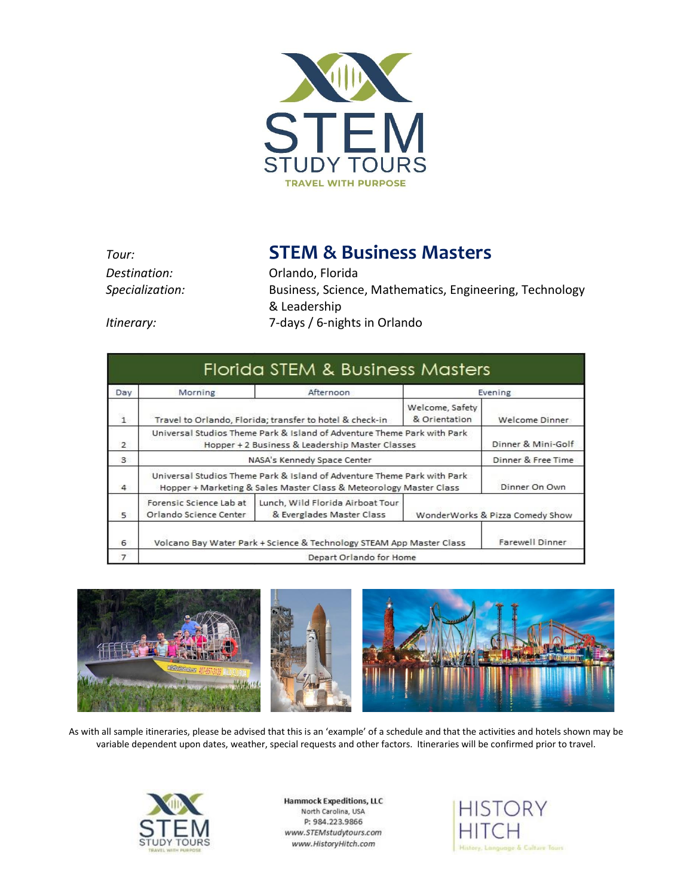

*Tour:* **STEM & Business Masters**

*Destination:* Orlando, Florida *Specialization:* Business, Science, Mathematics, Engineering, Technology & Leadership *Itinerary:* 7-days / 6-nights in Orlando

| Day<br>Morning |                                                                                                                                               | Afternoon                                                     | Evening        |                                 |
|----------------|-----------------------------------------------------------------------------------------------------------------------------------------------|---------------------------------------------------------------|----------------|---------------------------------|
| $\mathbf{1}$   | Welcome, Safety<br>Travel to Orlando, Florida; transfer to hotel & check-in<br>& Orientation                                                  |                                                               | Welcome Dinner |                                 |
| 2              | Universal Studios Theme Park & Island of Adventure Theme Park with Park<br>Hopper + 2 Business & Leadership Master Classes                    |                                                               |                | Dinner & Mini-Golf              |
| 3              | NASA's Kennedy Space Center                                                                                                                   |                                                               |                | Dinner & Free Time              |
| 4              | Universal Studios Theme Park & Island of Adventure Theme Park with Park<br>Hopper + Marketing & Sales Master Class & Meteorology Master Class |                                                               |                | Dinner On Own                   |
| 5              | Forensic Science Lab at<br>Orlando Science Center                                                                                             | Lunch, Wild Florida Airboat Tour<br>& Everglades Master Class |                | WonderWorks & Pizza Comedy Show |
| 6              | Volcano Bay Water Park + Science & Technology STEAM App Master Class                                                                          |                                                               |                | Farewell Dinner                 |
| $\overline{7}$ | Depart Orlando for Home                                                                                                                       |                                                               |                |                                 |



As with all sample itineraries, please be advised that this is an 'example' of a schedule and that the activities and hotels shown may be variable dependent upon dates, weather, special requests and other factors. Itineraries will be confirmed prior to travel.



**Hammock Expeditions, LLC** North Carolina, USA P: 984.223.9866 www.STEMstudytours.com www.HistoryHitch.com

**HISTORY** History, Language & Culture Tours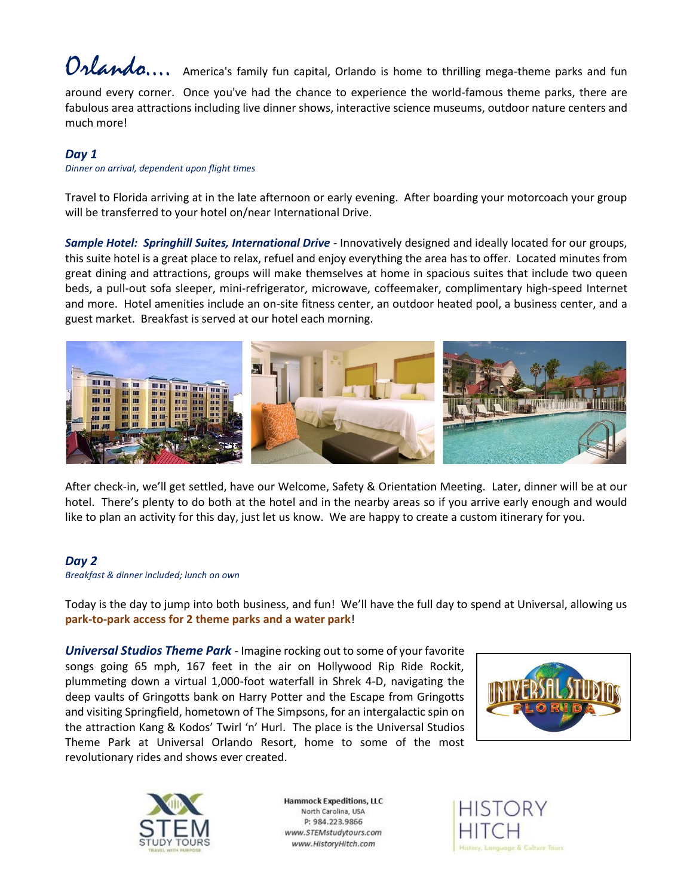

around every corner. Once you've had the chance to experience the world-famous theme parks, there are fabulous area attractions including live dinner shows, interactive science museums, outdoor nature centers and much more!

### *Day 1*

*Dinner on arrival, dependent upon flight times*

Travel to Florida arriving at in the late afternoon or early evening. After boarding your motorcoach your group will be transferred to your hotel on/near International Drive.

*Sample Hotel: Springhill Suites, International Drive* - Innovatively designed and ideally located for our groups, this suite hotel is a great place to relax, refuel and enjoy everything the area has to offer. Located minutes from great dining and attractions, groups will make themselves at home in spacious suites that include two queen beds, a pull-out sofa sleeper, mini-refrigerator, microwave, coffeemaker, complimentary high-speed Internet and more. Hotel amenities include an on-site fitness center, an outdoor heated pool, a business center, and a guest market. Breakfast is served at our hotel each morning.



After check-in, we'll get settled, have our Welcome, Safety & Orientation Meeting. Later, dinner will be at our hotel. There's plenty to do both at the hotel and in the nearby areas so if you arrive early enough and would like to plan an activity for this day, just let us know. We are happy to create a custom itinerary for you.

#### *Day 2*

*Breakfast & dinner included; lunch on own*

Today is the day to jump into both business, and fun! We'll have the full day to spend at Universal, allowing us **park-to-park access for 2 theme parks and a water park**!

*Universal Studios Theme Park* - Imagine rocking out to some of your favorite songs going 65 mph, 167 feet in the air on Hollywood Rip Ride Rockit, plummeting down a virtual 1,000-foot waterfall in Shrek 4-D, navigating the deep vaults of Gringotts bank on Harry Potter and the Escape from Gringotts and visiting Springfield, hometown of The Simpsons, for an intergalactic spin on the attraction Kang & Kodos' Twirl 'n' Hurl. The place is the Universal Studios Theme Park at Universal Orlando Resort, home to some of the most revolutionary rides and shows ever created.





**Hammock Expeditions, LLC** North Carolina, USA P: 984.223.9866 www.STEMstudytours.com www.HistoryHitch.com

**HISTORY** age & Culture Tours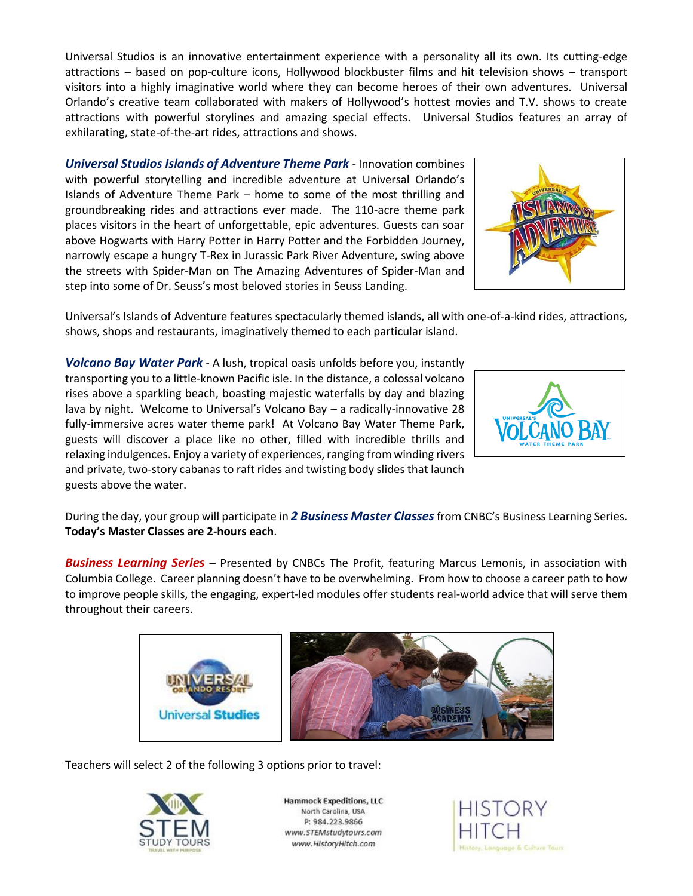Universal Studios is an innovative entertainment experience with a personality all its own. Its cutting-edge attractions – based on pop-culture icons, Hollywood blockbuster films and hit television shows – transport visitors into a highly imaginative world where they can become heroes of their own adventures. Universal Orlando's creative team collaborated with makers of Hollywood's hottest movies and T.V. shows to create attractions with powerful storylines and amazing special effects. Universal Studios features an array of exhilarating, state-of-the-art rides, attractions and shows.

*Universal Studios Islands of Adventure Theme Park* - Innovation combines with powerful storytelling and incredible adventure at Universal Orlando's Islands of Adventure Theme Park – home to some of the most thrilling and groundbreaking rides and attractions ever made. The 110-acre theme park places visitors in the heart of unforgettable, epic adventures. Guests can soar above Hogwarts with Harry Potter in Harry Potter and the Forbidden Journey, narrowly escape a hungry T-Rex in Jurassic Park River Adventure, swing above the streets with Spider-Man on The Amazing Adventures of Spider-Man and step into some of Dr. Seuss's most beloved stories in Seuss Landing.



Universal's Islands of Adventure features spectacularly themed islands, all with one-of-a-kind rides, attractions, shows, shops and restaurants, imaginatively themed to each particular island.

*Volcano Bay Water Park* - A lush, tropical oasis unfolds before you, instantly transporting you to a little-known Pacific isle. In the distance, a colossal volcano rises above a sparkling beach, boasting majestic waterfalls by day and blazing lava by night. Welcome to Universal's Volcano Bay – a radically-innovative 28 fully-immersive acres water theme park! At Volcano Bay Water Theme Park, guests will discover a place like no other, filled with incredible thrills and relaxing indulgences. Enjoy a variety of experiences, ranging from winding rivers and private, two-story cabanas to raft rides and twisting body slides that launch guests above the water.



During the day, your group will participate in *2 Business Master Classes*from CNBC's Business Learning Series. **Today's Master Classes are 2-hours each**.

*Business Learning Series* – Presented by CNBCs The Profit, featuring Marcus Lemonis, in association with Columbia College. Career planning doesn't have to be overwhelming. From how to choose a career path to how to improve people skills, the engaging, expert-led modules offer students real-world advice that will serve them throughout their careers.



Teachers will select 2 of the following 3 options prior to travel:



**Hammock Expeditions, LLC** North Carolina, USA P: 984.223.9866 www.STEMstudytours.com www.HistoryHitch.com

**HISTORY** ge & Culture Tours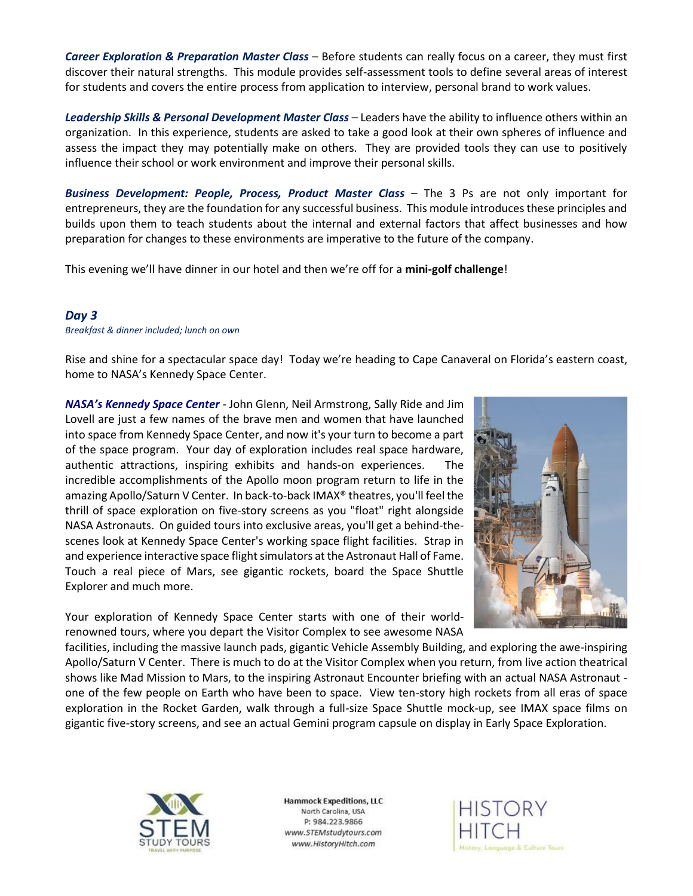*Career Exploration & Preparation Master Class* – Before students can really focus on a career, they must first discover their natural strengths. This module provides self-assessment tools to define several areas of interest for students and covers the entire process from application to interview, personal brand to work values.

*Leadership Skills & Personal Development Master Class* – Leaders have the ability to influence others within an organization. In this experience, students are asked to take a good look at their own spheres of influence and assess the impact they may potentially make on others. They are provided tools they can use to positively influence their school or work environment and improve their personal skills.

*Business Development: People, Process, Product Master Class* – The 3 Ps are not only important for entrepreneurs, they are the foundation for any successful business. This module introduces these principles and builds upon them to teach students about the internal and external factors that affect businesses and how preparation for changes to these environments are imperative to the future of the company.

This evening we'll have dinner in our hotel and then we're off for a **mini-golf challenge**!

# *Day 3*

*Breakfast & dinner included; lunch on own*

Rise and shine for a spectacular space day! Today we're heading to Cape Canaveral on Florida's eastern coast, home to NASA's Kennedy Space Center.

*NASA's Kennedy Space Center* - John Glenn, Neil Armstrong, Sally Ride and Jim Lovell are just a few names of the brave men and women that have launched into space from Kennedy Space Center, and now it's your turn to become a part of the space program. Your day of exploration includes real space hardware, authentic attractions, inspiring exhibits and hands-on experiences. The incredible accomplishments of the Apollo moon program return to life in the amazing Apollo/Saturn V Center. In back-to-back IMAX® theatres, you'll feel the thrill of space exploration on five-story screens as you "float" right alongside NASA Astronauts. On guided tours into exclusive areas, you'll get a behind-thescenes look at Kennedy Space Center's working space flight facilities. Strap in and experience interactive space flight simulators at the Astronaut Hall of Fame. Touch a real piece of Mars, see gigantic rockets, board the Space Shuttle Explorer and much more.

Your exploration of Kennedy Space Center starts with one of their worldrenowned tours, where you depart the Visitor Complex to see awesome NASA



facilities, including the massive launch pads, gigantic Vehicle Assembly Building, and exploring the awe-inspiring Apollo/Saturn V Center. There is much to do at the Visitor Complex when you return, from live action theatrical shows like Mad Mission to Mars, to the inspiring Astronaut Encounter briefing with an actual NASA Astronaut one of the few people on Earth who have been to space. View ten-story high rockets from all eras of space exploration in the Rocket Garden, walk through a full-size Space Shuttle mock-up, see IMAX space films on gigantic five-story screens, and see an actual Gemini program capsule on display in Early Space Exploration.



**Hammock Expeditions, LLC** North Carolina, USA P: 984.223.9866 www.STEMstudytours.com www.HistoryHitch.com

**HISTORY** ge & Culture Tours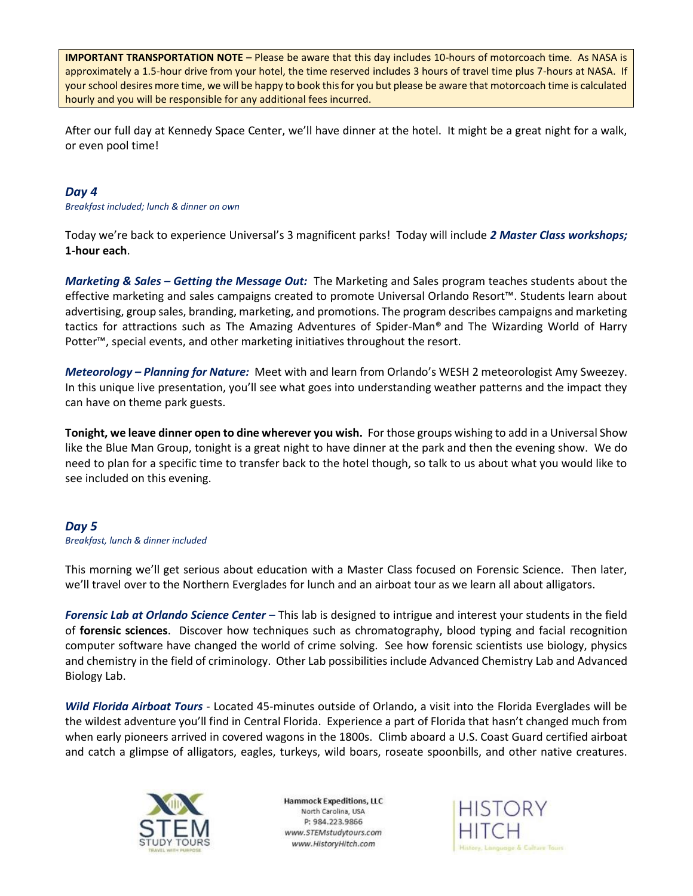**IMPORTANT TRANSPORTATION NOTE** – Please be aware that this day includes 10-hours of motorcoach time. As NASA is approximately a 1.5-hour drive from your hotel, the time reserved includes 3 hours of travel time plus 7-hours at NASA. If your school desires more time, we will be happy to book this for you but please be aware that motorcoach time is calculated hourly and you will be responsible for any additional fees incurred.

After our full day at Kennedy Space Center, we'll have dinner at the hotel. It might be a great night for a walk, or even pool time!

## *Day 4*

*Breakfast included; lunch & dinner on own*

Today we're back to experience Universal's 3 magnificent parks! Today will include *2 Master Class workshops;*  **1-hour each**.

*Marketing & Sales – Getting the Message Out:* The Marketing and Sales program teaches students about the effective marketing and sales campaigns created to promote Universal Orlando Resort™. Students learn about advertising, group sales, branding, marketing, and promotions. The program describes campaigns and marketing tactics for attractions such as The Amazing Adventures of Spider-Man® and The Wizarding World of Harry Potter™, special events, and other marketing initiatives throughout the resort.

*Meteorology – Planning for Nature:* Meet with and learn from Orlando's WESH 2 meteorologist Amy Sweezey. In this unique live presentation, you'll see what goes into understanding weather patterns and the impact they can have on theme park guests.

**Tonight, we leave dinner open to dine wherever you wish.** For those groups wishing to add in a Universal Show like the Blue Man Group, tonight is a great night to have dinner at the park and then the evening show. We do need to plan for a specific time to transfer back to the hotel though, so talk to us about what you would like to see included on this evening.

#### *Day 5 Breakfast, lunch & dinner included*

This morning we'll get serious about education with a Master Class focused on Forensic Science. Then later, we'll travel over to the Northern Everglades for lunch and an airboat tour as we learn all about alligators.

*Forensic Lab at Orlando Science Center* – This lab is designed to intrigue and interest your students in the field of **forensic sciences**. Discover how techniques such as chromatography, blood typing and facial recognition computer software have changed the world of crime solving. See how forensic scientists use biology, physics and chemistry in the field of criminology. Other Lab possibilities include Advanced Chemistry Lab and Advanced Biology Lab.

*Wild Florida Airboat Tours* - Located 45-minutes outside of Orlando, a visit into the Florida Everglades will be the wildest adventure you'll find in Central Florida. Experience a part of Florida that hasn't changed much from when early pioneers arrived in covered wagons in the 1800s. Climb aboard a U.S. Coast Guard certified airboat and catch a glimpse of alligators, eagles, turkeys, wild boars, roseate spoonbills, and other native creatures.



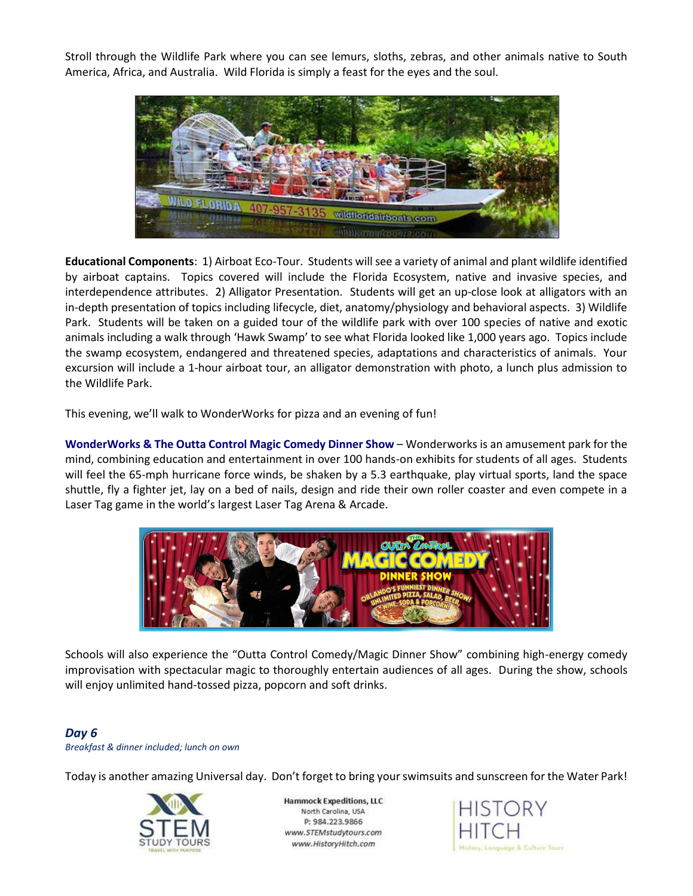Stroll through the Wildlife Park where you can see lemurs, sloths, zebras, and other animals native to South America, Africa, and Australia. Wild Florida is simply a feast for the eyes and the soul.



**Educational Components**: 1) Airboat Eco-Tour. Students will see a variety of animal and plant wildlife identified by airboat captains. Topics covered will include the Florida Ecosystem, native and invasive species, and interdependence attributes. 2) Alligator Presentation. Students will get an up-close look at alligators with an in-depth presentation of topics including lifecycle, diet, anatomy/physiology and behavioral aspects. 3) Wildlife Park. Students will be taken on a guided tour of the wildlife park with over 100 species of native and exotic animals including a walk through 'Hawk Swamp' to see what Florida looked like 1,000 years ago. Topics include the swamp ecosystem, endangered and threatened species, adaptations and characteristics of animals. Your excursion will include a 1-hour airboat tour, an alligator demonstration with photo, a lunch plus admission to the Wildlife Park.

This evening, we'll walk to WonderWorks for pizza and an evening of fun!

**WonderWorks & The Outta Control Magic Comedy Dinner Show** – Wonderworks is an amusement park for the mind, combining education and entertainment in over 100 hands-on exhibits for students of all ages. Students will feel the 65-mph hurricane force winds, be shaken by a 5.3 earthquake, play virtual sports, land the space shuttle, fly a fighter jet, lay on a bed of nails, design and ride their own roller coaster and even compete in a Laser Tag game in the world's largest Laser Tag Arena & Arcade.



Schools will also experience the "Outta Control Comedy/Magic Dinner Show" combining high-energy comedy improvisation with spectacular magic to thoroughly entertain audiences of all ages. During the show, schools will enjoy unlimited hand-tossed pizza, popcorn and soft drinks.

# *Day 6 Breakfast & dinner included; lunch on own*

Today is another amazing Universal day. Don't forget to bring your swimsuits and sunscreen for the Water Park!



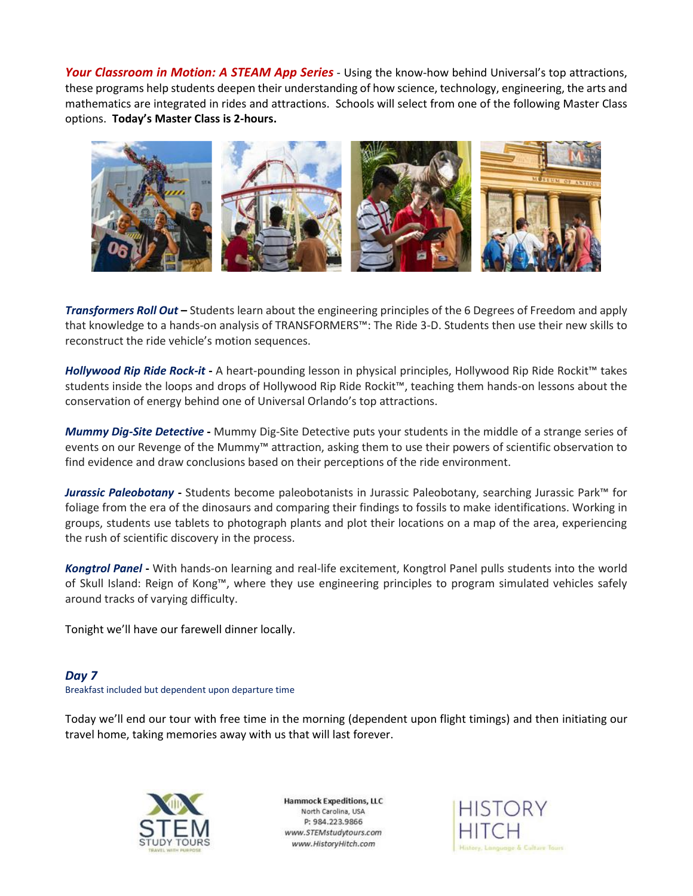*Your Classroom in Motion: A STEAM App Series* - Using the know-how behind Universal's top attractions, these programs help students deepen their understanding of how science, technology, engineering, the arts and mathematics are integrated in rides and attractions. Schools will select from one of the following Master Class options. **Today's Master Class is 2-hours.**



*Transformers Roll Out* **–** Students learn about the engineering principles of the 6 Degrees of Freedom and apply that knowledge to a hands-on analysis of TRANSFORMERS™: The Ride 3-D. Students then use their new skills to reconstruct the ride vehicle's motion sequences.

*Hollywood Rip Ride Rock-it* **-** A heart-pounding lesson in physical principles, Hollywood Rip Ride Rockit™ takes students inside the loops and drops of Hollywood Rip Ride Rockit™, teaching them hands-on lessons about the conservation of energy behind one of Universal Orlando's top attractions.

*Mummy Dig-Site Detective* **-** Mummy Dig-Site Detective puts your students in the middle of a strange series of events on our Revenge of the Mummy™ attraction, asking them to use their powers of scientific observation to find evidence and draw conclusions based on their perceptions of the ride environment.

*Jurassic Paleobotany* **-** Students become paleobotanists in Jurassic Paleobotany, searching Jurassic Park™ for foliage from the era of the dinosaurs and comparing their findings to fossils to make identifications. Working in groups, students use tablets to photograph plants and plot their locations on a map of the area, experiencing the rush of scientific discovery in the process.

*Kongtrol Panel* **-** With hands-on learning and real-life excitement, Kongtrol Panel pulls students into the world of Skull Island: Reign of Kong™, where they use engineering principles to program simulated vehicles safely around tracks of varying difficulty.

Tonight we'll have our farewell dinner locally.

# *Day 7*

Breakfast included but dependent upon departure time

Today we'll end our tour with free time in the morning (dependent upon flight timings) and then initiating our travel home, taking memories away with us that will last forever.